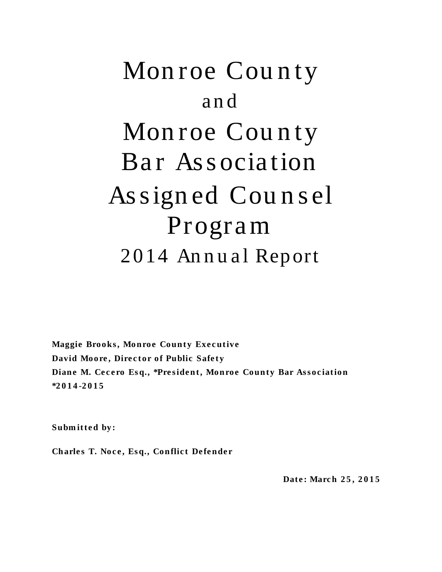# Mon roe County a n d Monroe County Bar Association As s ign ed Cou n s el Progra m 2014 Annual Report

**Maggie Brooks, Monroe County Executive David Moore, Director of Public Safety Diane M. Cecero Esq., \*President, Monroe County Bar Association \*2 0 1 4 -2015**

**Submitted by:** 

**Charles T. Noce, Esq., Conflict Defender** 

 **Dat e : Marc h 2 5 , 2 0 1 5**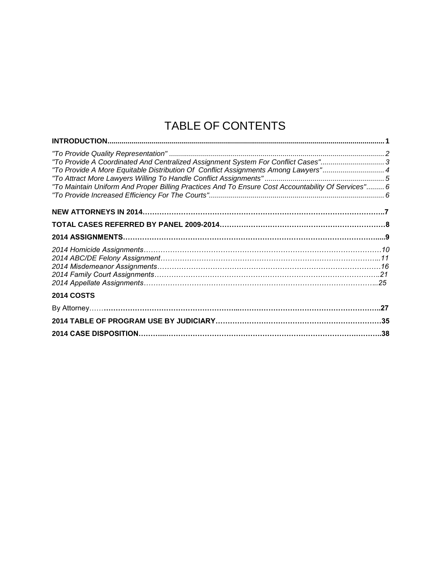## TABLE OF CONTENTS

| "To Provide A Coordinated And Centralized Assignment System For Conflict Cases"                    |  |
|----------------------------------------------------------------------------------------------------|--|
| To Provide A More Equitable Distribution Of Conflict Assignments Among Lawyers"4                   |  |
|                                                                                                    |  |
| "To Maintain Uniform And Proper Billing Practices And To Ensure Cost Accountability Of Services" 6 |  |
|                                                                                                    |  |
|                                                                                                    |  |
|                                                                                                    |  |
|                                                                                                    |  |
|                                                                                                    |  |
|                                                                                                    |  |
|                                                                                                    |  |
|                                                                                                    |  |
|                                                                                                    |  |
| <b>2014 COSTS</b>                                                                                  |  |
|                                                                                                    |  |
|                                                                                                    |  |
|                                                                                                    |  |
|                                                                                                    |  |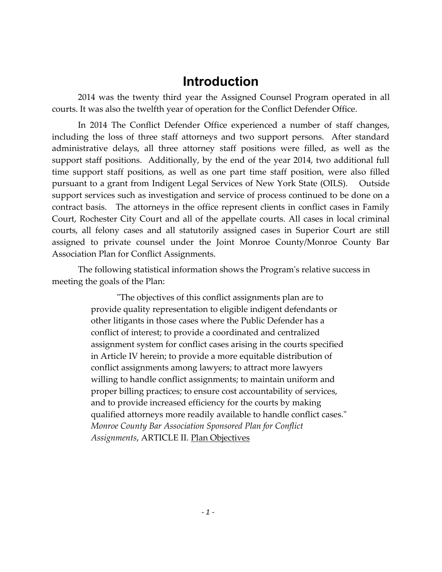### **Introduction**

2014 was the twenty third year the Assigned Counsel Program operated in all courts. It was also the twelfth year of operation for the Conflict Defender Office.

In 2014 The Conflict Defender Office experienced a number of staff changes, including the loss of three staff attorneys and two support persons. After standard administrative delays, all three attorney staff positions were filled, as well as the support staff positions. Additionally, by the end of the year 2014, two additional full time support staff positions, as well as one part time staff position, were also filled pursuant to a grant from Indigent Legal Services of New York State (OILS). Outside support services such as investigation and service of process continued to be done on a contract basis. The attorneys in the office represent clients in conflict cases in Family Court, Rochester City Court and all of the appellate courts. All cases in local criminal courts, all felony cases and all statutorily assigned cases in Superior Court are still assigned to private counsel under the Joint Monroe County/Monroe County Bar Association Plan for Conflict Assignments.

The following statistical information shows the Program's relative success in meeting the goals of the Plan:

> "The objectives of this conflict assignments plan are to provide quality representation to eligible indigent defendants or other litigants in those cases where the Public Defender has a conflict of interest; to provide a coordinated and centralized assignment system for conflict cases arising in the courts specified in Article IV herein; to provide a more equitable distribution of conflict assignments among lawyers; to attract more lawyers willing to handle conflict assignments; to maintain uniform and proper billing practices; to ensure cost accountability of services, and to provide increased efficiency for the courts by making qualified attorneys more readily available to handle conflict cases." *Monroe County Bar Association Sponsored Plan for Conflict Assignments*, ARTICLE II. Plan Objectives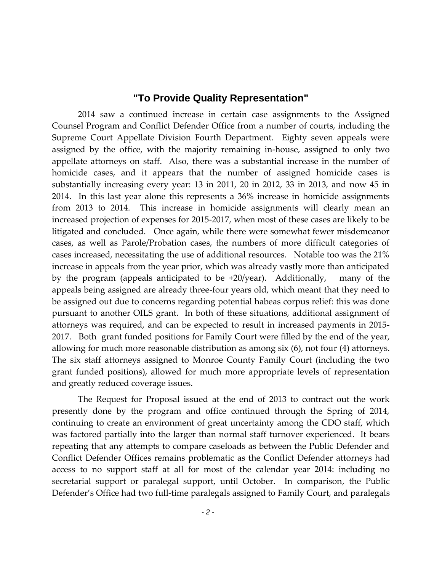#### **"To Provide Quality Representation"**

2014 saw a continued increase in certain case assignments to the Assigned Counsel Program and Conflict Defender Office from a number of courts, including the Supreme Court Appellate Division Fourth Department. Eighty seven appeals were assigned by the office, with the majority remaining in-house, assigned to only two appellate attorneys on staff. Also, there was a substantial increase in the number of homicide cases, and it appears that the number of assigned homicide cases is substantially increasing every year: 13 in 2011, 20 in 2012, 33 in 2013, and now 45 in 2014. In this last year alone this represents a 36% increase in homicide assignments from 2013 to 2014. This increase in homicide assignments will clearly mean an increased projection of expenses for 2015-2017, when most of these cases are likely to be litigated and concluded. Once again, while there were somewhat fewer misdemeanor cases, as well as Parole/Probation cases, the numbers of more difficult categories of cases increased, necessitating the use of additional resources. Notable too was the 21% increase in appeals from the year prior, which was already vastly more than anticipated by the program (appeals anticipated to be +20/year). Additionally, many of the appeals being assigned are already three-four years old, which meant that they need to be assigned out due to concerns regarding potential habeas corpus relief: this was done pursuant to another OILS grant. In both of these situations, additional assignment of attorneys was required, and can be expected to result in increased payments in 2015- 2017. Both grant funded positions for Family Court were filled by the end of the year, allowing for much more reasonable distribution as among six (6), not four (4) attorneys. The six staff attorneys assigned to Monroe County Family Court (including the two grant funded positions), allowed for much more appropriate levels of representation and greatly reduced coverage issues.

The Request for Proposal issued at the end of 2013 to contract out the work presently done by the program and office continued through the Spring of 2014, continuing to create an environment of great uncertainty among the CDO staff, which was factored partially into the larger than normal staff turnover experienced. It bears repeating that any attempts to compare caseloads as between the Public Defender and Conflict Defender Offices remains problematic as the Conflict Defender attorneys had access to no support staff at all for most of the calendar year 2014: including no secretarial support or paralegal support, until October. In comparison, the Public Defender's Office had two full-time paralegals assigned to Family Court, and paralegals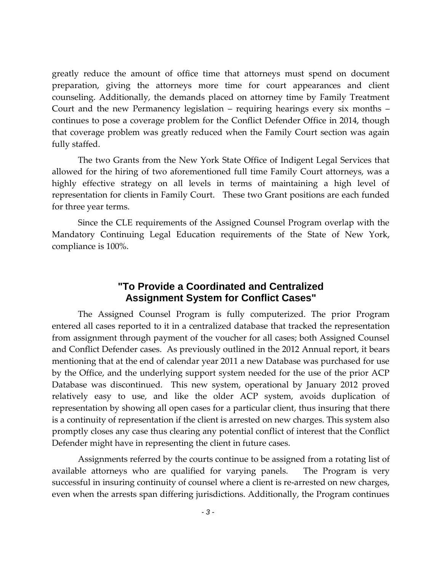greatly reduce the amount of office time that attorneys must spend on document preparation, giving the attorneys more time for court appearances and client counseling. Additionally, the demands placed on attorney time by Family Treatment Court and the new Permanency legislation – requiring hearings every six months – continues to pose a coverage problem for the Conflict Defender Office in 2014, though that coverage problem was greatly reduced when the Family Court section was again fully staffed.

The two Grants from the New York State Office of Indigent Legal Services that allowed for the hiring of two aforementioned full time Family Court attorneys, was a highly effective strategy on all levels in terms of maintaining a high level of representation for clients in Family Court. These two Grant positions are each funded for three year terms.

Since the CLE requirements of the Assigned Counsel Program overlap with the Mandatory Continuing Legal Education requirements of the State of New York, compliance is 100%.

#### **"To Provide a Coordinated and Centralized Assignment System for Conflict Cases"**

The Assigned Counsel Program is fully computerized. The prior Program entered all cases reported to it in a centralized database that tracked the representation from assignment through payment of the voucher for all cases; both Assigned Counsel and Conflict Defender cases. As previously outlined in the 2012 Annual report, it bears mentioning that at the end of calendar year 2011 a new Database was purchased for use by the Office, and the underlying support system needed for the use of the prior ACP Database was discontinued. This new system, operational by January 2012 proved relatively easy to use, and like the older ACP system, avoids duplication of representation by showing all open cases for a particular client, thus insuring that there is a continuity of representation if the client is arrested on new charges. This system also promptly closes any case thus clearing any potential conflict of interest that the Conflict Defender might have in representing the client in future cases.

Assignments referred by the courts continue to be assigned from a rotating list of available attorneys who are qualified for varying panels. The Program is very successful in insuring continuity of counsel where a client is re-arrested on new charges, even when the arrests span differing jurisdictions. Additionally, the Program continues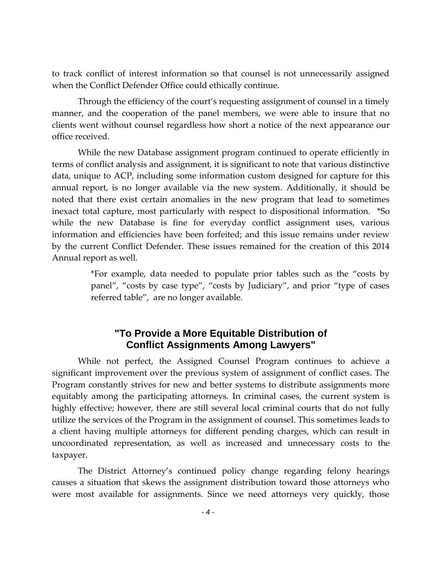to track conflict of interest information so that counsel is not unnecessarily assigned when the Conflict Defender Office could ethically continue.

Through the efficiency of the court's requesting assignment of counsel in a timely manner, and the cooperation of the panel members, we were able to insure that no clients went without counsel regardless how short a notice of the next appearance our office received.

While the new Database assignment program continued to operate efficiently in terms of conflict analysis and assignment, it is significant to note that various distinctive data, unique to ACP, including some information custom designed for capture for this annual report, is no longer available via the new system. Additionally, it should be noted that there exist certain anomalies in the new program that lead to sometimes inexact total capture, most particularly with respect to dispositional information. \*So while the new Database is fine for everyday conflict assignment uses, various information and efficiencies have been forfeited; and this issue remains under review by the current Conflict Defender. These issues remained for the creation of this 2014 Annual report as well.

> \*For example, data needed to populate prior tables such as the "costs by panel", "costs by case type", "costs by Judiciary", and prior "type of cases referred table", are no longer available.

#### **"To Provide a More Equitable Distribution of Conflict Assignments Among Lawyers"**

While not perfect, the Assigned Counsel Program continues to achieve a significant improvement over the previous system of assignment of conflict cases. The Program constantly strives for new and better systems to distribute assignments more equitably among the participating attorneys. In criminal cases, the current system is highly effective; however, there are still several local criminal courts that do not fully utilize the services of the Program in the assignment of counsel. This sometimes leads to a client having multiple attorneys for different pending charges, which can result in uncoordinated representation, as well as increased and unnecessary costs to the taxpayer.

The District Attorney's continued policy change regarding felony hearings causes a situation that skews the assignment distribution toward those attorneys who were most available for assignments. Since we need attorneys very quickly, those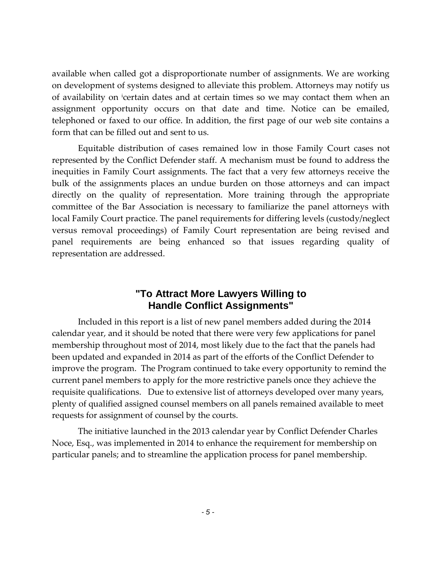available when called got a disproportionate number of assignments. We are working on development of systems designed to alleviate this problem. Attorneys may notify us of availability on icertain dates and at certain times so we may contact them when an assignment opportunity occurs on that date and time. Notice can be emailed, telephoned or faxed to our office. In addition, the first page of our web site contains a form that can be filled out and sent to us.

Equitable distribution of cases remained low in those Family Court cases not represented by the Conflict Defender staff. A mechanism must be found to address the inequities in Family Court assignments. The fact that a very few attorneys receive the bulk of the assignments places an undue burden on those attorneys and can impact directly on the quality of representation. More training through the appropriate committee of the Bar Association is necessary to familiarize the panel attorneys with local Family Court practice. The panel requirements for differing levels (custody/neglect versus removal proceedings) of Family Court representation are being revised and panel requirements are being enhanced so that issues regarding quality of representation are addressed.

#### **"To Attract More Lawyers Willing to Handle Conflict Assignments"**

Included in this report is a list of new panel members added during the 2014 calendar year, and it should be noted that there were very few applications for panel membership throughout most of 2014, most likely due to the fact that the panels had been updated and expanded in 2014 as part of the efforts of the Conflict Defender to improve the program. The Program continued to take every opportunity to remind the current panel members to apply for the more restrictive panels once they achieve the requisite qualifications. Due to extensive list of attorneys developed over many years, plenty of qualified assigned counsel members on all panels remained available to meet requests for assignment of counsel by the courts.

The initiative launched in the 2013 calendar year by Conflict Defender Charles Noce, Esq., was implemented in 2014 to enhance the requirement for membership on particular panels; and to streamline the application process for panel membership.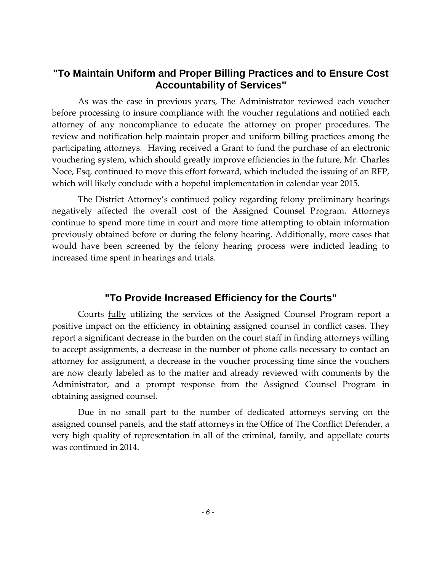#### **"To Maintain Uniform and Proper Billing Practices and to Ensure Cost Accountability of Services"**

As was the case in previous years, The Administrator reviewed each voucher before processing to insure compliance with the voucher regulations and notified each attorney of any noncompliance to educate the attorney on proper procedures. The review and notification help maintain proper and uniform billing practices among the participating attorneys. Having received a Grant to fund the purchase of an electronic vouchering system, which should greatly improve efficiencies in the future, Mr. Charles Noce, Esq, continued to move this effort forward, which included the issuing of an RFP, which will likely conclude with a hopeful implementation in calendar year 2015.

The District Attorney's continued policy regarding felony preliminary hearings negatively affected the overall cost of the Assigned Counsel Program. Attorneys continue to spend more time in court and more time attempting to obtain information previously obtained before or during the felony hearing. Additionally, more cases that would have been screened by the felony hearing process were indicted leading to increased time spent in hearings and trials.

#### **"To Provide Increased Efficiency for the Courts"**

Courts fully utilizing the services of the Assigned Counsel Program report a positive impact on the efficiency in obtaining assigned counsel in conflict cases. They report a significant decrease in the burden on the court staff in finding attorneys willing to accept assignments, a decrease in the number of phone calls necessary to contact an attorney for assignment, a decrease in the voucher processing time since the vouchers are now clearly labeled as to the matter and already reviewed with comments by the Administrator, and a prompt response from the Assigned Counsel Program in obtaining assigned counsel.

Due in no small part to the number of dedicated attorneys serving on the assigned counsel panels, and the staff attorneys in the Office of The Conflict Defender, a very high quality of representation in all of the criminal, family, and appellate courts was continued in 2014.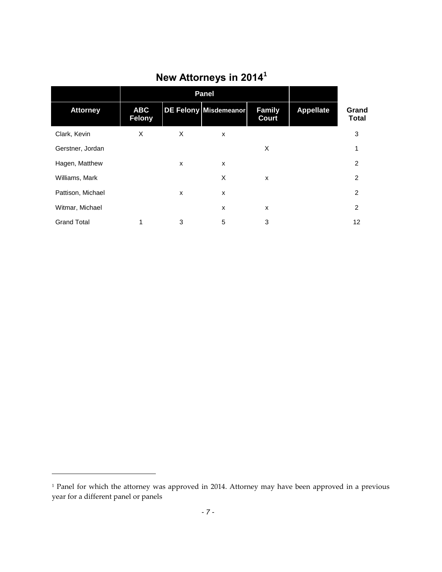|                    |                             | <b>Panel</b> |                       |                               |                  |                       |
|--------------------|-----------------------------|--------------|-----------------------|-------------------------------|------------------|-----------------------|
| <b>Attorney</b>    | <b>ABC</b><br><b>Felony</b> |              | DE Felony Misdemeanor | <b>Family</b><br><b>Court</b> | <b>Appellate</b> | Grand<br><b>Total</b> |
| Clark, Kevin       | X                           | X            | X                     |                               |                  | 3                     |
| Gerstner, Jordan   |                             |              |                       | X                             |                  | 1                     |
| Hagen, Matthew     |                             | X            | X                     |                               |                  | 2                     |
| Williams, Mark     |                             |              | X                     | X                             |                  | 2                     |
| Pattison, Michael  |                             | X            | X                     |                               |                  | 2                     |
| Witmar, Michael    |                             |              | X                     | X                             |                  | 2                     |
| <b>Grand Total</b> | 1                           | 3            | 5                     | 3                             |                  | 12                    |

# **New Attorneys in 2014<sup>1</sup>**

 $\overline{\phantom{a}}$ 

<sup>&</sup>lt;sup>1</sup> Panel for which the attorney was approved in 2014. Attorney may have been approved in a previous year for a different panel or panels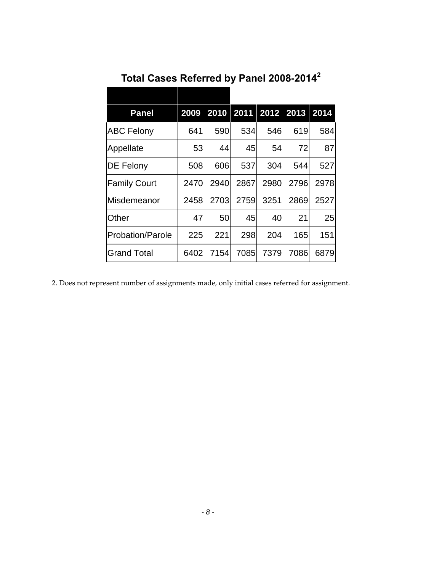| <b>Panel</b>        |      |      | 2009 2010 2011 2012 |      | 2013 | 2014 |
|---------------------|------|------|---------------------|------|------|------|
| <b>ABC Felony</b>   | 641  | 590  | 534                 | 546  | 619  | 584  |
| Appellate           | 53   | 44   | 45                  | 54   | 72   | 87   |
| <b>DE Felony</b>    | 508  | 606  | 537                 | 304  | 544  | 527  |
| <b>Family Court</b> | 2470 | 2940 | 2867                | 2980 | 2796 | 2978 |
| Misdemeanor         | 2458 | 2703 | 2759                | 3251 | 2869 | 2527 |
| Other               | 47   | 50   | 45                  | 40   | 21   | 25   |
| Probation/Parole    | 225  | 221  | 298                 | 204  | 165  | 151  |
| <b>Grand Total</b>  | 6402 | 7154 | 7085                | 7379 | 7086 | 6879 |

**Total Cases Referred by Panel 2008-2014<sup>2</sup>**

2. Does not represent number of assignments made, only initial cases referred for assignment.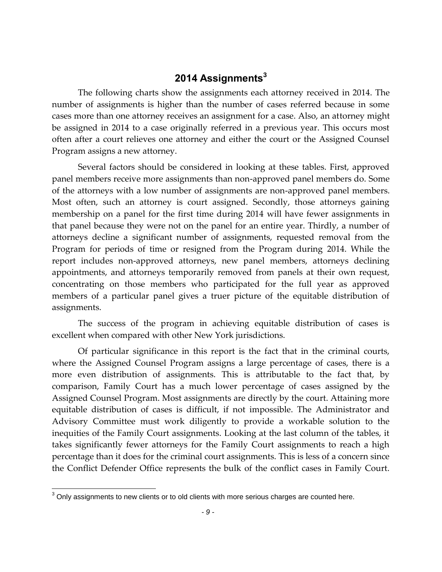#### **2014 Assignments<sup>3</sup>**

The following charts show the assignments each attorney received in 2014. The number of assignments is higher than the number of cases referred because in some cases more than one attorney receives an assignment for a case. Also, an attorney might be assigned in 2014 to a case originally referred in a previous year. This occurs most often after a court relieves one attorney and either the court or the Assigned Counsel Program assigns a new attorney.

Several factors should be considered in looking at these tables. First, approved panel members receive more assignments than non-approved panel members do. Some of the attorneys with a low number of assignments are non-approved panel members. Most often, such an attorney is court assigned. Secondly, those attorneys gaining membership on a panel for the first time during 2014 will have fewer assignments in that panel because they were not on the panel for an entire year. Thirdly, a number of attorneys decline a significant number of assignments, requested removal from the Program for periods of time or resigned from the Program during 2014. While the report includes non-approved attorneys, new panel members, attorneys declining appointments, and attorneys temporarily removed from panels at their own request, concentrating on those members who participated for the full year as approved members of a particular panel gives a truer picture of the equitable distribution of assignments.

The success of the program in achieving equitable distribution of cases is excellent when compared with other New York jurisdictions.

Of particular significance in this report is the fact that in the criminal courts, where the Assigned Counsel Program assigns a large percentage of cases, there is a more even distribution of assignments. This is attributable to the fact that, by comparison, Family Court has a much lower percentage of cases assigned by the Assigned Counsel Program. Most assignments are directly by the court. Attaining more equitable distribution of cases is difficult, if not impossible. The Administrator and Advisory Committee must work diligently to provide a workable solution to the inequities of the Family Court assignments. Looking at the last column of the tables, it takes significantly fewer attorneys for the Family Court assignments to reach a high percentage than it does for the criminal court assignments. This is less of a concern since the Conflict Defender Office represents the bulk of the conflict cases in Family Court.

 $\overline{\phantom{a}}$ 

 $3$  Only assignments to new clients or to old clients with more serious charges are counted here.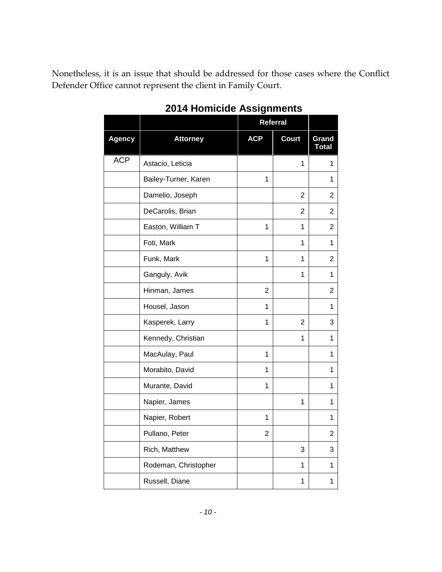Nonetheless, it is an issue that should be addressed for those cases where the Conflict Defender Office cannot represent the client in Family Court.

|               |                      | Referral       |                |                       |
|---------------|----------------------|----------------|----------------|-----------------------|
| <b>Agency</b> | <b>Attorney</b>      | <b>ACP</b>     | <b>Court</b>   | Grand<br><b>Total</b> |
| <b>ACP</b>    | Astacio, Leticia     |                | $\mathbf{1}$   | 1                     |
|               | Bailey-Turner, Karen | $\mathbf{1}$   |                | 1                     |
|               | Damelio, Joseph      |                | $\overline{2}$ | 2                     |
|               | DeCarolis, Brian     |                | $\overline{2}$ | $\overline{2}$        |
|               | Easton, William T    | 1              | 1              | $\overline{2}$        |
|               | Foti, Mark           |                | 1              | 1                     |
|               | Funk, Mark           | 1              | 1              | $\overline{2}$        |
|               | Ganguly, Avik        |                | 1              | 1                     |
|               | Hinman, James        | 2              |                | 2                     |
|               | Housel, Jason        | 1              |                | 1                     |
|               | Kasperek, Larry      | 1              | 2              | 3                     |
|               | Kennedy, Christian   |                | 1              | $\mathbf{1}$          |
|               | MacAulay, Paul       | $\mathbf{1}$   |                | 1                     |
|               | Morabito, David      | 1              |                | 1                     |
|               | Murante, David       | 1              |                | 1                     |
|               | Napier, James        |                | 1              | 1                     |
|               | Napier, Robert       | 1              |                | 1                     |
|               | Pullano, Peter       | $\overline{2}$ |                | $\overline{c}$        |
|               | Rich, Matthew        |                | 3              | 3                     |
|               | Rodeman, Christopher |                | 1              | 1                     |
|               | Russell, Diane       |                | 1              | 1                     |

#### **2014 Homicide Assignments**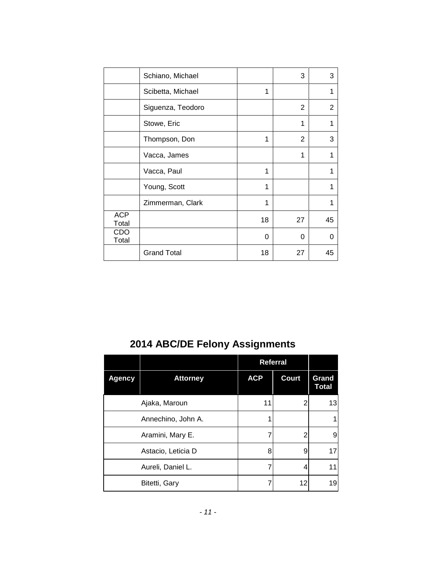|                     | Schiano, Michael   |    | 3        | 3  |
|---------------------|--------------------|----|----------|----|
|                     | Scibetta, Michael  | 1  |          | 1  |
|                     | Siguenza, Teodoro  |    | 2        | 2  |
|                     | Stowe, Eric        |    | 1        | 1  |
|                     | Thompson, Don      | 1  | 2        | 3  |
|                     | Vacca, James       |    | 1        | 1  |
|                     | Vacca, Paul        | 1  |          | 1  |
|                     | Young, Scott       | 1  |          | 1  |
|                     | Zimmerman, Clark   | 1  |          | 1  |
| <b>ACP</b><br>Total |                    | 18 | 27       | 45 |
| CDO<br>Total        |                    | 0  | $\Omega$ | 0  |
|                     | <b>Grand Total</b> | 18 | 27       | 45 |

## **2014 ABC/DE Felony Assignments**

|               |                    |            | Referral     |                       |
|---------------|--------------------|------------|--------------|-----------------------|
| <b>Agency</b> | <b>Attorney</b>    | <b>ACP</b> | <b>Court</b> | Grand<br><b>Total</b> |
|               | Ajaka, Maroun      | 11         | 2            | 13                    |
|               | Annechino, John A. |            |              |                       |
|               | Aramini, Mary E.   | 7          | 2            | 9                     |
|               | Astacio, Leticia D | 8          | 9            | 17                    |
|               | Aureli, Daniel L.  |            | 4            | 11                    |
|               | Bitetti, Gary      |            | 12           | 19                    |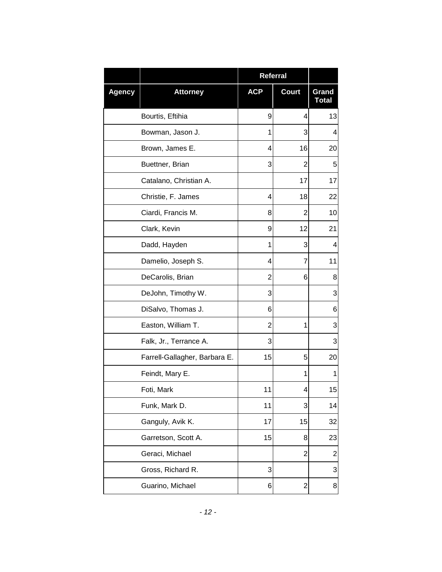|               |                               | Referral   |                |                       |
|---------------|-------------------------------|------------|----------------|-----------------------|
| <b>Agency</b> | <b>Attorney</b>               | <b>ACP</b> | <b>Court</b>   | Grand<br><b>Total</b> |
|               | Bourtis, Eftihia              | 9          | 4              | 13                    |
|               | Bowman, Jason J.              | 1          | 3              | 4                     |
|               | Brown, James E.               | 4          | 16             | 20                    |
|               | Buettner, Brian               | 3          | $\overline{2}$ | 5                     |
|               | Catalano, Christian A.        |            | 17             | 17                    |
|               | Christie, F. James            | 4          | 18             | 22                    |
|               | Ciardi, Francis M.            | 8          | $\overline{2}$ | 10                    |
|               | Clark, Kevin                  | 9          | 12             | 21                    |
|               | Dadd, Hayden                  | 1          | 3              | 4                     |
|               | Damelio, Joseph S.            | 4          | 7              | 11                    |
|               | DeCarolis, Brian              | 2          | 6              | 8                     |
|               | DeJohn, Timothy W.            | 3          |                | 3                     |
|               | DiSalvo, Thomas J.            | 6          |                | 6                     |
|               | Easton, William T.            | 2          | 1              | 3                     |
|               | Falk, Jr., Terrance A.        | 3          |                | 3                     |
|               | Farrell-Gallagher, Barbara E. | 15         | 5              | 20                    |
|               | Feindt, Mary E.               |            | 1              | 1                     |
|               | Foti, Mark                    | 11         | 4              | 15                    |
|               | Funk, Mark D.                 | 11         | 3              | 14                    |
|               | Ganguly, Avik K.              | 17         | 15             | 32                    |
|               | Garretson, Scott A.           | 15         | 8              | 23                    |
|               | Geraci, Michael               |            | $\overline{2}$ | $\overline{c}$        |
|               | Gross, Richard R.             | 3          |                | 3                     |
|               | Guarino, Michael              | 6          | 2              | 8                     |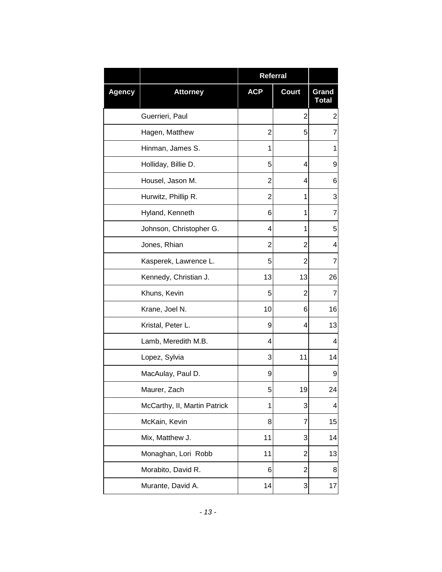|               |                              | Referral       |                |                       |
|---------------|------------------------------|----------------|----------------|-----------------------|
| <b>Agency</b> | <b>Attorney</b>              | <b>ACP</b>     | <b>Court</b>   | Grand<br><b>Total</b> |
|               | Guerrieri, Paul              |                | $\overline{2}$ | $\boldsymbol{2}$      |
|               | Hagen, Matthew               | 2              | 5              | $\overline{7}$        |
|               | Hinman, James S.             | 1              |                | 1                     |
|               | Holliday, Billie D.          | 5              | 4              | 9                     |
|               | Housel, Jason M.             | 2              | 4              | 6                     |
|               | Hurwitz, Phillip R.          | $\overline{2}$ | 1              | 3                     |
|               | Hyland, Kenneth              | 6              | 1              | $\overline{7}$        |
|               | Johnson, Christopher G.      | 4              | 1              | 5                     |
|               | Jones, Rhian                 | 2              | $\overline{2}$ | 4                     |
|               | Kasperek, Lawrence L.        | 5              | $\overline{2}$ | $\overline{7}$        |
|               | Kennedy, Christian J.        | 13             | 13             | 26                    |
|               | Khuns, Kevin                 | 5              | $\overline{2}$ | $\overline{7}$        |
|               | Krane, Joel N.               | 10             | 6              | 16                    |
|               | Kristal, Peter L.            | 9              | 4              | 13                    |
|               | Lamb, Meredith M.B.          | 4              |                | 4                     |
|               | Lopez, Sylvia                | 3              | 11             | 14                    |
|               | MacAulay, Paul D.            | 9              |                | 9                     |
|               | Maurer, Zach                 | 5              | 19             | 24                    |
|               | McCarthy, II, Martin Patrick | 1              | 3              | 4                     |
|               | McKain, Kevin                | 8              | 7              | 15                    |
|               | Mix, Matthew J.              | 11             | 3              | 14                    |
|               | Monaghan, Lori Robb          | 11             | $\overline{2}$ | 13                    |
|               | Morabito, David R.           | 6              | $\overline{2}$ | 8                     |
|               | Murante, David A.            | 14             | 3              | 17                    |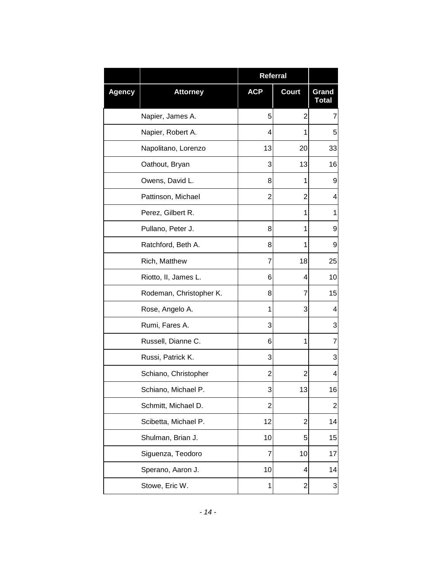|               |                         | Referral       |                |                  |
|---------------|-------------------------|----------------|----------------|------------------|
| <b>Agency</b> | <b>Attorney</b>         | <b>ACP</b>     | <b>Court</b>   | Grand<br>Total   |
|               | Napier, James A.        | 5              | $\overline{2}$ | $\overline{7}$   |
|               | Napier, Robert A.       | 4              | 1              | 5                |
|               | Napolitano, Lorenzo     | 13             | 20             | 33               |
|               | Oathout, Bryan          | 3              | 13             | 16               |
|               | Owens, David L.         | 8              | 1              | 9                |
|               | Pattinson, Michael      | $\overline{2}$ | $\overline{2}$ | 4                |
|               | Perez, Gilbert R.       |                | 1              | 1                |
|               | Pullano, Peter J.       | 8              | 1              | 9                |
|               | Ratchford, Beth A.      | 8              | 1              | 9                |
|               | Rich, Matthew           | 7              | 18             | 25               |
|               | Riotto, II, James L.    | 6              | 4              | 10               |
|               | Rodeman, Christopher K. | 8              | 7              | 15               |
|               | Rose, Angelo A.         | 1              | 3              | 4                |
|               | Rumi, Fares A.          | 3              |                | 3                |
|               | Russell, Dianne C.      | 6              | 1              | $\overline{7}$   |
|               | Russi, Patrick K.       | 3              |                | 3                |
|               | Schiano, Christopher    | 2              | 2              | 4                |
|               | Schiano, Michael P.     | 3              | 13             | 16               |
|               | Schmitt, Michael D.     | $\overline{2}$ |                | $\boldsymbol{2}$ |
|               | Scibetta, Michael P.    | 12             | $\overline{2}$ | 14               |
|               | Shulman, Brian J.       | 10             | 5              | 15               |
|               | Siguenza, Teodoro       | 7              | 10             | 17               |
|               | Sperano, Aaron J.       | 10             | 4              | 14               |
|               | Stowe, Eric W.          | 1              | 2              | 3                |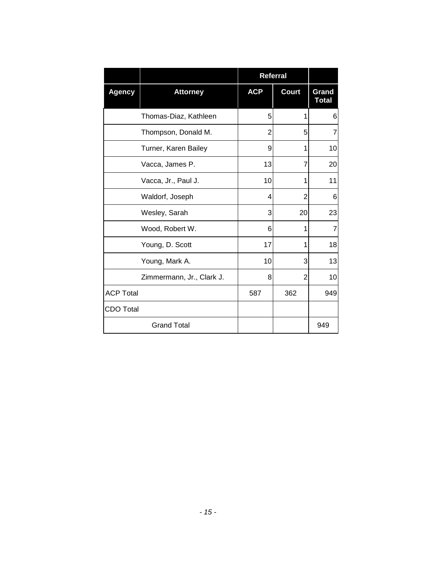|                  |                           | <b>Referral</b> |                |                       |
|------------------|---------------------------|-----------------|----------------|-----------------------|
| <b>Agency</b>    | <b>Attorney</b>           | <b>ACP</b>      | <b>Court</b>   | Grand<br><b>Total</b> |
|                  | Thomas-Diaz, Kathleen     | 5               | 1              | 6                     |
|                  | Thompson, Donald M.       | $\overline{2}$  | 5              | 7                     |
|                  | Turner, Karen Bailey      | 9               | 1              | 10                    |
|                  | Vacca, James P.           | 13              | 7              | 20                    |
|                  | Vacca, Jr., Paul J.       | 10              | 1              | 11                    |
|                  | Waldorf, Joseph           | 4               | 2              | 6                     |
|                  | Wesley, Sarah             | 3               | 20             | 23                    |
|                  | Wood, Robert W.           | 6               | 1              | 7                     |
|                  | Young, D. Scott           | 17              | 1              | 18                    |
|                  | Young, Mark A.            | 10              | 3              | 13                    |
|                  | Zimmermann, Jr., Clark J. | 8               | $\overline{2}$ | 10                    |
| <b>ACP Total</b> |                           | 587             | 362            | 949                   |
| <b>CDO Total</b> |                           |                 |                |                       |
|                  | <b>Grand Total</b>        |                 |                | 949                   |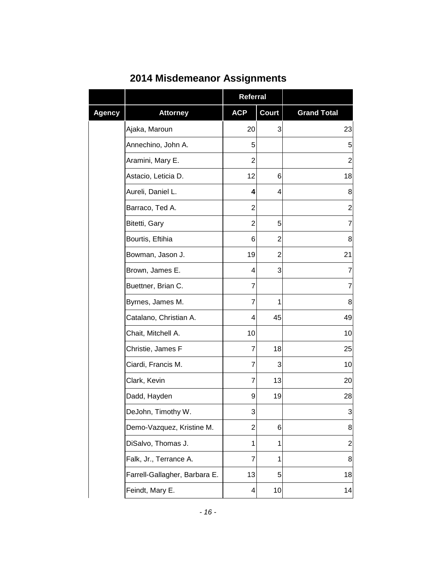|               |                               | <b>Referral</b> |                |                    |
|---------------|-------------------------------|-----------------|----------------|--------------------|
| <b>Agency</b> | <b>Attorney</b>               | <b>ACP</b>      | <b>Court</b>   | <b>Grand Total</b> |
|               | Ajaka, Maroun                 | 20              | 3              | 23                 |
|               | Annechino, John A.            | 5               |                | 5                  |
|               | Aramini, Mary E.              | 2               |                | $\overline{2}$     |
|               | Astacio, Leticia D.           | 12              | 6              | 18                 |
|               | Aureli, Daniel L.             | 4               | 4              | 8                  |
|               | Barraco, Ted A.               | 2               |                | $\overline{2}$     |
|               | Bitetti, Gary                 | $\overline{2}$  | 5              | $\overline{7}$     |
|               | Bourtis, Eftihia              | 6               | 2              | 8                  |
|               | Bowman, Jason J.              | 19              | $\overline{2}$ | 21                 |
|               | Brown, James E.               | 4               | 3              | 7                  |
|               | Buettner, Brian C.            | 7               |                | 7                  |
|               | Byrnes, James M.              | 7               | 1              | 8                  |
|               | Catalano, Christian A.        | 4               | 45             | 49                 |
|               | Chait, Mitchell A.            | 10              |                | 10                 |
|               | Christie, James F             | 7               | 18             | 25                 |
|               | Ciardi, Francis M.            | 7               | 3              | 10                 |
|               | Clark, Kevin                  | 7               | 13             | 20                 |
|               | Dadd, Hayden                  | 9               | 19             | 28                 |
|               | DeJohn, Timothy W.            | 3               |                | $\overline{3}$     |
|               | Demo-Vazquez, Kristine M.     | $\overline{2}$  | 6              | 8                  |
|               | DiSalvo, Thomas J.            | 1               | 1              | 2                  |
|               | Falk, Jr., Terrance A.        | 7               | 1              | 8                  |
|               | Farrell-Gallagher, Barbara E. | 13              | 5              | 18                 |
|               | Feindt, Mary E.               | 4               | 10             | 14                 |

## **2014 Misdemeanor Assignments**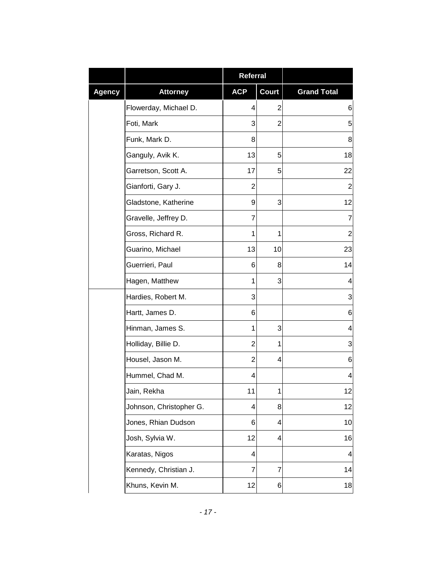|               |                         | <b>Referral</b> |                |                    |
|---------------|-------------------------|-----------------|----------------|--------------------|
| <b>Agency</b> | <b>Attorney</b>         | <b>ACP</b>      | <b>Court</b>   | <b>Grand Total</b> |
|               | Flowerday, Michael D.   | 4               | $\overline{c}$ | 6                  |
|               | Foti, Mark              | 3               | $\overline{2}$ | 5                  |
|               | Funk, Mark D.           | 8               |                | 8                  |
|               | Ganguly, Avik K.        | 13              | 5              | 18                 |
|               | Garretson, Scott A.     | 17              | 5              | 22                 |
|               | Gianforti, Gary J.      | $\overline{2}$  |                | $\overline{c}$     |
|               | Gladstone, Katherine    | 9               | 3              | 12                 |
|               | Gravelle, Jeffrey D.    | $\overline{7}$  |                | 7                  |
|               | Gross, Richard R.       | 1               | 1              | $\overline{c}$     |
|               | Guarino, Michael        | 13              | 10             | 23                 |
|               | Guerrieri, Paul         | 6               | 8              | 14                 |
|               | Hagen, Matthew          | 1               | 3              | 4                  |
|               | Hardies, Robert M.      | 3               |                | 3                  |
|               | Hartt, James D.         | 6               |                | 6                  |
|               | Hinman, James S.        | 1               | 3              | 4                  |
|               | Holliday, Billie D.     | $\overline{2}$  | 1              | 3                  |
|               | Housel, Jason M.        | $\overline{2}$  | 4              | 6                  |
|               | Hummel, Chad M.         | 4               |                | 4                  |
|               | Jain, Rekha             | 11              | 1              | 12                 |
|               | Johnson, Christopher G. | 4               | 8              | 12                 |
|               | Jones, Rhian Dudson     | 6               | 4              | 10                 |
|               | Josh, Sylvia W.         | 12              | 4              | 16                 |
|               | Karatas, Nigos          | 4               |                | 4                  |
|               | Kennedy, Christian J.   | 7               | 7              | 14                 |
|               | Khuns, Kevin M.         | 12              | 6              | 18                 |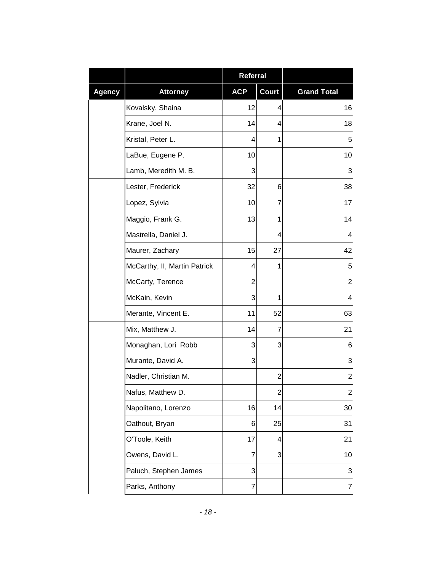|               |                              | <b>Referral</b> |              |                    |
|---------------|------------------------------|-----------------|--------------|--------------------|
| <b>Agency</b> | <b>Attorney</b>              | <b>ACP</b>      | <b>Court</b> | <b>Grand Total</b> |
|               | Kovalsky, Shaina             | 12              | 4            | 16                 |
|               | Krane, Joel N.               | 14              | 4            | 18                 |
|               | Kristal, Peter L.            | 4               | 1            | 5                  |
|               | LaBue, Eugene P.             | 10              |              | 10                 |
|               | Lamb, Meredith M. B.         | 3               |              | 3                  |
|               | Lester, Frederick            | 32              | 6            | 38                 |
|               | Lopez, Sylvia                | 10              | 7            | 17                 |
|               | Maggio, Frank G.             | 13              | 1            | 14                 |
|               | Mastrella, Daniel J.         |                 | 4            | 4                  |
|               | Maurer, Zachary              | 15              | 27           | 42                 |
|               | McCarthy, II, Martin Patrick | 4               | 1            | 5                  |
|               | McCarty, Terence             | $\overline{2}$  |              | $\overline{c}$     |
|               | McKain, Kevin                | 3               | 1            | 4                  |
|               | Merante, Vincent E.          | 11              | 52           | 63                 |
|               | Mix, Matthew J.              | 14              | 7            | 21                 |
|               | Monaghan, Lori Robb          | 3               | 3            | 6                  |
|               | Murante, David A.            | 3               |              | 3                  |
|               | Nadler, Christian M.         |                 | 2            | $\overline{c}$     |
|               | Nafus, Matthew D.            |                 | Z            | $\mathbf{2}$       |
|               | Napolitano, Lorenzo          | 16              | 14           | 30                 |
|               | Oathout, Bryan               | 6               | 25           | 31                 |
|               | O'Toole, Keith               | 17              | 4            | 21                 |
|               | Owens, David L.              | 7               | 3            | 10                 |
|               | Paluch, Stephen James        | 3               |              | 3                  |
|               | Parks, Anthony               | $\overline{7}$  |              | $\overline{7}$     |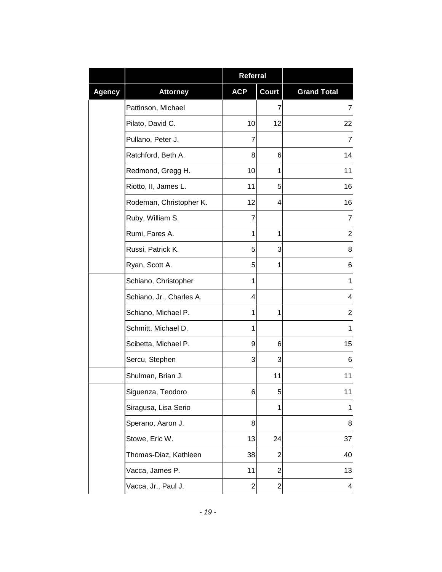|               |                          | <b>Referral</b> |                |                         |
|---------------|--------------------------|-----------------|----------------|-------------------------|
| <b>Agency</b> | <b>Attorney</b>          | <b>ACP</b>      | <b>Court</b>   | <b>Grand Total</b>      |
|               | Pattinson, Michael       |                 | 7              | 7                       |
|               | Pilato, David C.         | 10              | 12             | 22                      |
|               | Pullano, Peter J.        | 7               |                | 7                       |
|               | Ratchford, Beth A.       | 8               | 6              | 14                      |
|               | Redmond, Gregg H.        | 10              | 1              | 11                      |
|               | Riotto, II, James L.     | 11              | 5              | 16                      |
|               | Rodeman, Christopher K.  | 12              | 4              | 16                      |
|               | Ruby, William S.         | $\overline{7}$  |                | 7                       |
|               | Rumi, Fares A.           | 1               | 1              | $\overline{c}$          |
|               | Russi, Patrick K.        | 5               | 3              | 8                       |
|               | Ryan, Scott A.           | 5               | 1              | 6                       |
|               | Schiano, Christopher     | 1               |                | $\mathbf{1}$            |
|               | Schiano, Jr., Charles A. | 4               |                | 4                       |
|               | Schiano, Michael P.      | 1               | 1              | 2                       |
|               | Schmitt, Michael D.      | 1               |                | 1                       |
|               | Scibetta, Michael P.     | 9               | 6              | 15                      |
|               | Sercu, Stephen           | 3               | 3              | 6                       |
|               | Shulman, Brian J.        |                 | 11             | 11                      |
|               | Siguenza, Teodoro        | 6               | b              | 11                      |
|               | Siragusa, Lisa Serio     |                 | $\mathbf{1}$   | $\mathbf{1}$            |
|               | Sperano, Aaron J.        | 8               |                | 8                       |
|               | Stowe, Eric W.           | 13              | 24             | 37                      |
|               | Thomas-Diaz, Kathleen    | 38              | $\overline{2}$ | 40                      |
|               | Vacca, James P.          | 11              | $\overline{2}$ | 13                      |
|               | Vacca, Jr., Paul J.      | $\overline{c}$  | 2              | $\overline{\mathbf{r}}$ |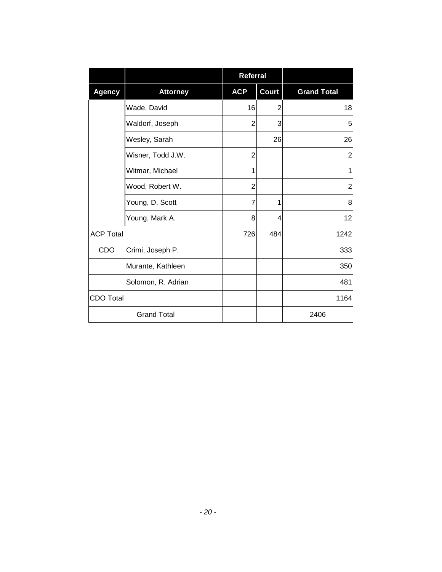|                  |                    | <b>Referral</b> |                |                    |
|------------------|--------------------|-----------------|----------------|--------------------|
| <b>Agency</b>    | <b>Attorney</b>    | <b>ACP</b>      | <b>Court</b>   | <b>Grand Total</b> |
|                  | Wade, David        | 16              | $\overline{2}$ | 18                 |
|                  | Waldorf, Joseph    | $\overline{2}$  | 3              | 5                  |
|                  | Wesley, Sarah      |                 | 26             | 26                 |
|                  | Wisner, Todd J.W.  | 2               |                | $\overline{2}$     |
|                  | Witmar, Michael    | 1               |                | 1                  |
|                  | Wood, Robert W.    | $\overline{2}$  |                | $\overline{2}$     |
|                  | Young, D. Scott    | $\overline{7}$  | 1              | 8                  |
|                  | Young, Mark A.     | 8               | 4              | 12                 |
| <b>ACP Total</b> |                    | 726             | 484            | 1242               |
| CDO              | Crimi, Joseph P.   |                 |                | 333                |
|                  | Murante, Kathleen  |                 |                | 350                |
|                  | Solomon, R. Adrian |                 |                | 481                |
| CDO Total        |                    |                 |                | 1164               |
|                  | <b>Grand Total</b> |                 |                | 2406               |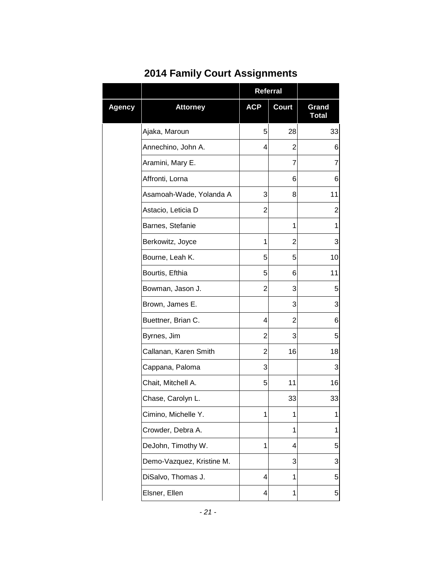|        |                           | Referral       |              |                       |
|--------|---------------------------|----------------|--------------|-----------------------|
| Agency | <b>Attorney</b>           | <b>ACP</b>     | <b>Court</b> | Grand<br><b>Total</b> |
|        | Ajaka, Maroun             | 5              | 28           | 33                    |
|        | Annechino, John A.        | 4              | 2            | 6                     |
|        | Aramini, Mary E.          |                | 7            | $\overline{7}$        |
|        | Affronti, Lorna           |                | 6            | 6                     |
|        | Asamoah-Wade, Yolanda A   | 3              | 8            | 11                    |
|        | Astacio, Leticia D        | $\overline{2}$ |              | $\overline{c}$        |
|        | Barnes, Stefanie          |                | 1            | 1                     |
|        | Berkowitz, Joyce          | 1              | 2            | 3                     |
|        | Bourne, Leah K.           | 5              | 5            | 10                    |
|        | Bourtis, Efthia           | 5              | 6            | 11                    |
|        | Bowman, Jason J.          | 2              | 3            | 5                     |
|        | Brown, James E.           |                | 3            | 3                     |
|        | Buettner, Brian C.        | 4              | 2            | 6                     |
|        | Byrnes, Jim               | $\overline{2}$ | 3            | 5                     |
|        | Callanan, Karen Smith     | $\overline{2}$ | 16           | 18                    |
|        | Cappana, Paloma           | 3              |              | 3                     |
|        | Chait, Mitchell A.        | 5              | 11           | 16                    |
|        | Chase, Carolyn L.         |                | 33           | 33                    |
|        | Cimino, Michelle Y.       | 1              | 1            | 1                     |
|        | Crowder, Debra A.         |                | 1            | 1                     |
|        | DeJohn, Timothy W.        | 1              | 4            | 5                     |
|        | Demo-Vazquez, Kristine M. |                | 3            | 3                     |
|        | DiSalvo, Thomas J.        | 4              | 1            | 5                     |
|        | Elsner, Ellen             | 4              | 1            | 5                     |

## **2014 Family Court Assignments**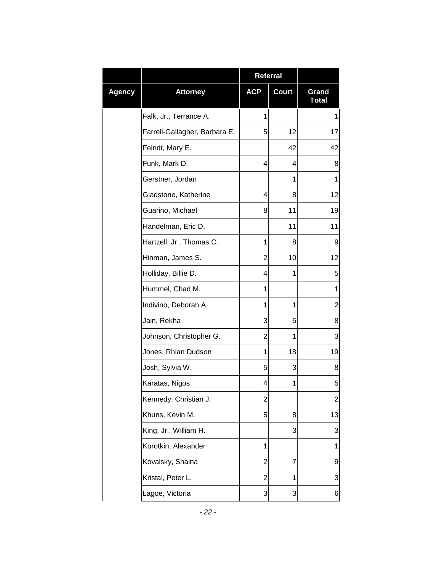|               |                               | Referral       |       |                       |
|---------------|-------------------------------|----------------|-------|-----------------------|
| <b>Agency</b> | <b>Attorney</b>               | <b>ACP</b>     | Court | Grand<br><b>Total</b> |
|               | Falk, Jr., Terrance A.        | 1              |       | 1                     |
|               | Farrell-Gallagher, Barbara E. | 5              | 12    | 17                    |
|               | Feindt, Mary E.               |                | 42    | 42                    |
|               | Funk, Mark D.                 | 4              | 4     | 8                     |
|               | Gerstner, Jordan              |                | 1     | 1                     |
|               | Gladstone, Katherine          | 4              | 8     | 12                    |
|               | Guarino, Michael              | 8              | 11    | 19                    |
|               | Handelman, Eric D.            |                | 11    | 11                    |
|               | Hartzell, Jr., Thomas C.      | 1              | 8     | 9                     |
|               | Hinman, James S.              | 2              | 10    | 12                    |
|               | Holliday, Billie D.           | 4              | 1     | 5                     |
|               | Hummel, Chad M.               | 1              |       | 1                     |
|               | Indivino, Deborah A.          | 1              | 1     | $\overline{c}$        |
|               | Jain, Rekha                   | 3              | 5     | 8                     |
|               | Johnson, Christopher G.       | 2              | 1     | 3                     |
|               | Jones, Rhian Dudson           | 1              | 18    | 19                    |
|               | Josh, Sylvia W.               | 5              | 3     | 8                     |
|               | Karatas, Nigos                | 4              | 1     | 5                     |
|               | Kennedy, Christian J.         | $\overline{c}$ |       | $\overline{c}$        |
|               | Khuns, Kevin M.               | 5              | 8     | 13                    |
|               | King, Jr., William H.         |                | 3     | 3                     |
|               | Korotkin, Alexander           | 1              |       | 1                     |
|               | Kovalsky, Shaina              | $\overline{2}$ | 7     | 9                     |
|               | Kristal, Peter L.             | $\overline{2}$ | 1     | 3                     |
|               | Lagoe, Victoria               | 3              | 3     | 6                     |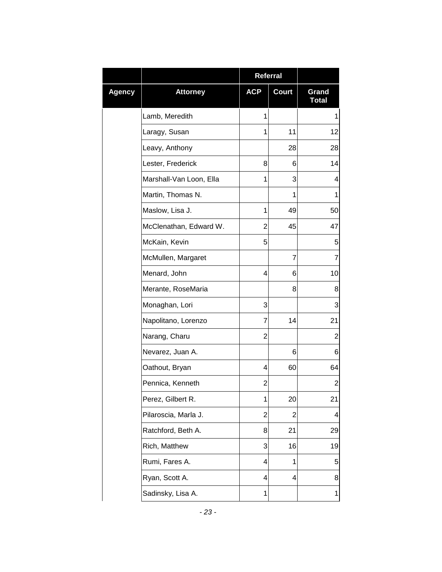|        |                         |                | Referral     |                       |
|--------|-------------------------|----------------|--------------|-----------------------|
| Agency | <b>Attorney</b>         | <b>ACP</b>     | <b>Court</b> | Grand<br><b>Total</b> |
|        | Lamb, Meredith          | 1              |              | 1                     |
|        | Laragy, Susan           | 1              | 11           | 12                    |
|        | Leavy, Anthony          |                | 28           | 28                    |
|        | Lester, Frederick       | 8              | 6            | 14                    |
|        | Marshall-Van Loon, Ella | 1              | 3            | 4                     |
|        | Martin, Thomas N.       |                | 1            | 1                     |
|        | Maslow, Lisa J.         | 1              | 49           | 50                    |
|        | McClenathan, Edward W.  | 2              | 45           | 47                    |
|        | McKain, Kevin           | 5              |              | 5                     |
|        | McMullen, Margaret      |                | 7            | 7                     |
|        | Menard, John            | 4              | 6            | 10                    |
|        | Merante, RoseMaria      |                | 8            | 8                     |
|        | Monaghan, Lori          | 3              |              | 3                     |
|        | Napolitano, Lorenzo     | 7              | 14           | 21                    |
|        | Narang, Charu           | 2              |              | $\overline{2}$        |
|        | Nevarez, Juan A.        |                | 6            | 6                     |
|        | Oathout, Bryan          | 4              | 60           | 64                    |
|        | Pennica, Kenneth        | 2              |              | $\overline{2}$        |
|        | Perez, Gilbert R.       | 1              | 20           | 21                    |
|        | Pilaroscia, Marla J.    | $\overline{2}$ | 2            | 4                     |
|        | Ratchford, Beth A.      | 8              | 21           | 29                    |
|        | Rich, Matthew           | 3              | 16           | 19                    |
|        | Rumi, Fares A.          | 4              | 1            | 5                     |
|        | Ryan, Scott A.          | 4              | 4            | 8                     |
|        | Sadinsky, Lisa A.       | 1              |              | 1                     |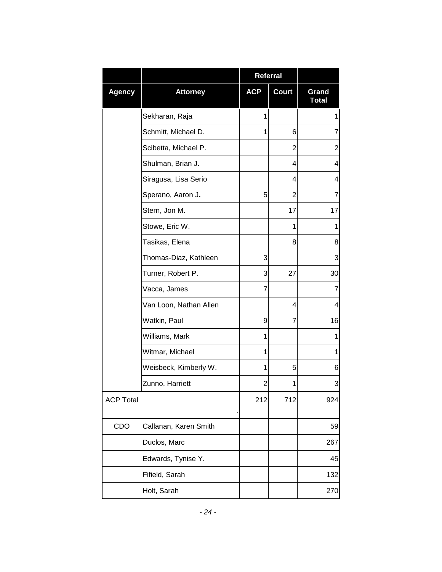|                  |                        |            | <b>Referral</b> |                       |
|------------------|------------------------|------------|-----------------|-----------------------|
| <b>Agency</b>    | <b>Attorney</b>        | <b>ACP</b> | <b>Court</b>    | Grand<br><b>Total</b> |
|                  | Sekharan, Raja         | 1          |                 | 1                     |
|                  | Schmitt, Michael D.    | 1          | 6               | $\overline{7}$        |
|                  | Scibetta, Michael P.   |            | $\overline{2}$  | $\overline{2}$        |
|                  | Shulman, Brian J.      |            | 4               | 4                     |
|                  | Siragusa, Lisa Serio   |            | 4               | 4                     |
|                  | Sperano, Aaron J.      | 5          | $\overline{2}$  | 7                     |
|                  | Stern, Jon M.          |            | 17              | 17                    |
|                  | Stowe, Eric W.         |            | 1               | 1                     |
|                  | Tasikas, Elena         |            | 8               | 8                     |
|                  | Thomas-Diaz, Kathleen  | 3          |                 | 3                     |
|                  | Turner, Robert P.      | 3          | 27              | 30                    |
|                  | Vacca, James           | 7          |                 | 7                     |
|                  | Van Loon, Nathan Allen |            | 4               | 4                     |
|                  | Watkin, Paul           | 9          | 7               | 16                    |
|                  | Williams, Mark         | 1          |                 | 1                     |
|                  | Witmar, Michael        | 1          |                 | 1                     |
|                  | Weisbeck, Kimberly W.  | 1          | 5               | 6                     |
|                  | Zunno, Harriett        | 2          | 1               | 3                     |
| <b>ACP Total</b> |                        | 212        | 712             | 924                   |
| CDO              | Callanan, Karen Smith  |            |                 | 59                    |
|                  | Duclos, Marc           |            |                 | 267                   |
|                  | Edwards, Tynise Y.     |            |                 | 45                    |
|                  | Fifield, Sarah         |            |                 | 132                   |
|                  | Holt, Sarah            |            |                 | 270                   |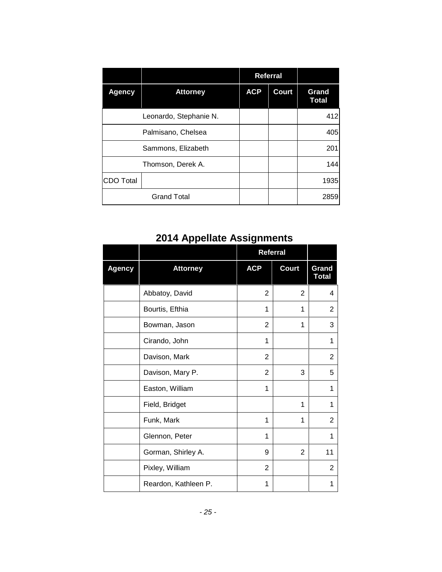|               |                        |            | <b>Referral</b> |                       |
|---------------|------------------------|------------|-----------------|-----------------------|
| <b>Agency</b> | <b>Attorney</b>        | <b>ACP</b> | <b>Court</b>    | Grand<br><b>Total</b> |
|               | Leonardo, Stephanie N. |            |                 | 412                   |
|               | Palmisano, Chelsea     |            |                 | 405                   |
|               | Sammons, Elizabeth     |            |                 | 201                   |
|               | Thomson, Derek A.      |            |                 | 144                   |
| ICDO Total    |                        |            |                 | 1935                  |
|               | <b>Grand Total</b>     |            |                 | 2859                  |

## **2014 Appellate Assignments**

|               |                      | Referral       |              |                       |
|---------------|----------------------|----------------|--------------|-----------------------|
| <b>Agency</b> | <b>Attorney</b>      | <b>ACP</b>     | <b>Court</b> | Grand<br><b>Total</b> |
|               | Abbatoy, David       | 2              | 2            | 4                     |
|               | Bourtis, Efthia      | 1              | 1            | 2                     |
|               | Bowman, Jason        | 2              | 1            | 3                     |
|               | Cirando, John        | 1              |              | 1                     |
|               | Davison, Mark        | 2              |              | 2                     |
|               | Davison, Mary P.     | 2              | 3            | 5                     |
|               | Easton, William      | 1              |              | 1                     |
|               | Field, Bridget       |                | 1            | 1                     |
|               | Funk, Mark           | 1              | 1            | 2                     |
|               | Glennon, Peter       | 1              |              | 1                     |
|               | Gorman, Shirley A.   | 9              | 2            | 11                    |
|               | Pixley, William      | $\overline{2}$ |              | 2                     |
|               | Reardon, Kathleen P. | 1              |              | 1                     |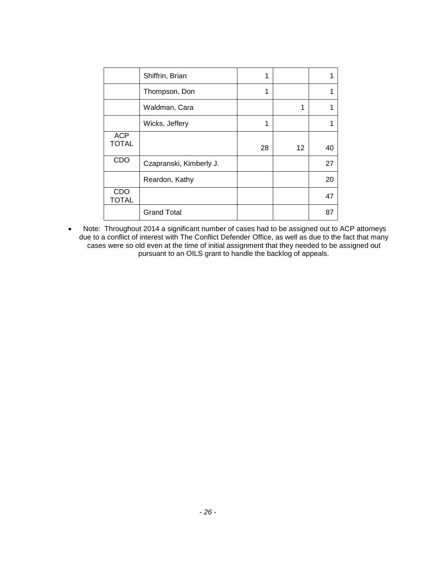|                     | Shiffrin, Brian         | 1  |    |    |
|---------------------|-------------------------|----|----|----|
|                     | Thompson, Don           | 1  |    |    |
|                     | Waldman, Cara           |    | 1  |    |
|                     | Wicks, Jeffery          | 1  |    |    |
| <b>ACP</b>          |                         |    |    |    |
| <b>TOTAL</b>        |                         | 28 | 12 | 40 |
| CDO                 | Czapranski, Kimberly J. |    |    | 27 |
|                     | Reardon, Kathy          |    |    | 20 |
| CDO<br><b>TOTAL</b> |                         |    |    | 47 |
|                     | <b>Grand Total</b>      |    |    | 87 |

 Note: Throughout 2014 a significant number of cases had to be assigned out to ACP attorneys due to a conflict of interest with The Conflict Defender Office, as well as due to the fact that many cases were so old even at the time of initial assignment that they needed to be assigned out pursuant to an OILS grant to handle the backlog of appeals.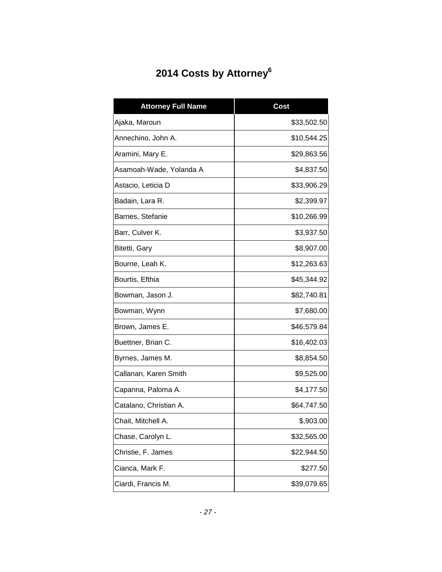# **2014 Costs by Attorney<sup>6</sup>**

| <b>Attorney Full Name</b> | <b>Cost</b> |
|---------------------------|-------------|
| Ajaka, Maroun             | \$33,502.50 |
| Annechino, John A.        | \$10,544.25 |
| Aramini, Mary E.          | \$29,863.56 |
| Asamoah-Wade, Yolanda A   | \$4,837.50  |
| Astacio, Leticia D        | \$33,906.29 |
| Badain, Lara R.           | \$2,399.97  |
| Barnes, Stefanie          | \$10,266.99 |
| Barr, Culver K.           | \$3,937.50  |
| Bitetti, Gary             | \$8,907.00  |
| Bourne, Leah K.           | \$12,263.63 |
| Bourtis, Efthia           | \$45,344.92 |
| Bowman, Jason J.          | \$82,740.81 |
| Bowman, Wynn              | \$7,680.00  |
| Brown, James E.           | \$46,579.84 |
| Buettner, Brian C.        | \$16,402.03 |
| Byrnes, James M.          | \$8,854.50  |
| Callanan, Karen Smith     | \$9,525.00  |
| Capanna, Paloma A.        | \$4,177.50  |
| Catalano, Christian A.    | \$64,747.50 |
| Chait, Mitchell A.        | \$,903.00   |
| Chase, Carolyn L.         | \$32,565.00 |
| Christie, F. James        | \$22,944.50 |
| Cianca, Mark F.           | \$277.50    |
| Ciardi, Francis M.        | \$39,079.65 |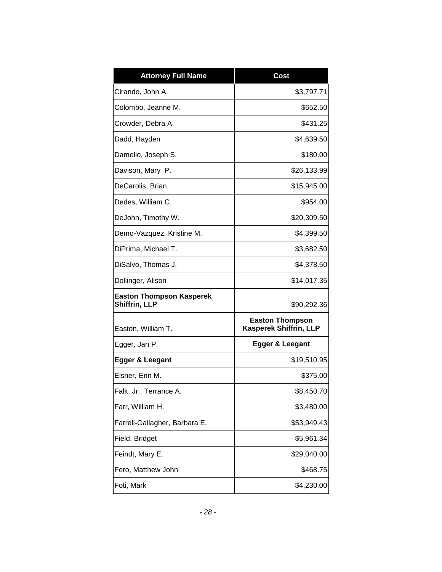| <b>Attorney Full Name</b>                        | <b>Cost</b>                                             |
|--------------------------------------------------|---------------------------------------------------------|
| Cirando, John A.                                 | \$3,797.71                                              |
| Colombo, Jeanne M.                               | \$652.50                                                |
| Crowder, Debra A.                                | \$431.25                                                |
| Dadd, Hayden                                     | \$4,639.50                                              |
| Damelio, Joseph S.                               | \$180.00                                                |
| Davison, Mary P.                                 | \$26,133.99                                             |
| DeCarolis, Brian                                 | \$15,945.00                                             |
| Dedes, William C.                                | \$954.00                                                |
| DeJohn, Timothy W.                               | \$20,309.50                                             |
| Demo-Vazquez, Kristine M.                        | \$4,399.50                                              |
| DiPrima, Michael T.                              | \$3,682.50                                              |
| DiSalvo, Thomas J.                               | \$4,378.50                                              |
| Dollinger, Alison                                | \$14,017.35                                             |
| <b>Easton Thompson Kasperek</b><br>Shiffrin, LLP | \$90,292.36                                             |
| Easton, William T.                               | <b>Easton Thompson</b><br><b>Kasperek Shiffrin, LLP</b> |
| Egger, Jan P.                                    | <b>Egger &amp; Leegant</b>                              |
| Egger & Leegant                                  | \$19,510.95                                             |
| Elsner, Erin M.                                  | \$375.00                                                |
| Falk, Jr., Terrance A.                           | \$8,450.70                                              |
| Farr, William H.                                 | \$3,480.00                                              |
| Farrell-Gallagher, Barbara E.                    | \$53,949.43                                             |
| Field, Bridget                                   | \$5,961.34                                              |
| Feindt, Mary E.                                  | \$29,040.00                                             |
| Fero, Matthew John                               | \$468.75                                                |
| Foti, Mark                                       | \$4,230.00                                              |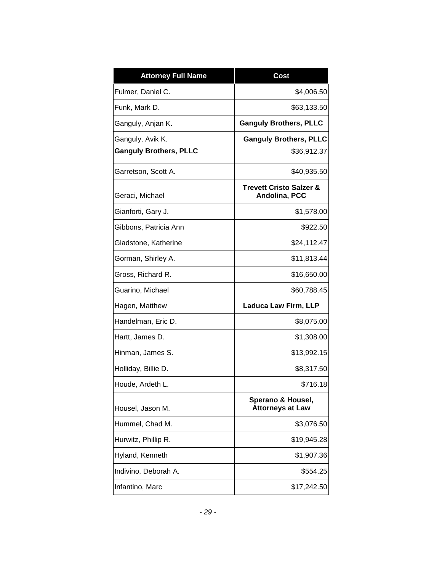| <b>Attorney Full Name</b>     | Cost                                                |
|-------------------------------|-----------------------------------------------------|
| Fulmer, Daniel C.             | \$4,006.50                                          |
| Funk, Mark D.                 | \$63,133.50                                         |
| Ganguly, Anjan K.             | <b>Ganguly Brothers, PLLC</b>                       |
| Ganguly, Avik K.              | <b>Ganguly Brothers, PLLC</b>                       |
| <b>Ganguly Brothers, PLLC</b> | \$36,912.37                                         |
| Garretson, Scott A.           | \$40,935.50                                         |
| Geraci, Michael               | <b>Trevett Cristo Salzer &amp;</b><br>Andolina, PCC |
| Gianforti, Gary J.            | \$1,578.00                                          |
| Gibbons, Patricia Ann         | \$922.50                                            |
| Gladstone, Katherine          | \$24,112.47                                         |
| Gorman, Shirley A.            | \$11,813.44                                         |
| Gross, Richard R.             | \$16,650.00                                         |
| Guarino, Michael              | \$60,788.45                                         |
| Hagen, Matthew                | <b>Laduca Law Firm, LLP</b>                         |
| Handelman, Eric D.            | \$8,075.00                                          |
| Hartt, James D.               | \$1,308.00                                          |
| Hinman, James S.              | \$13,992.15                                         |
| Holliday, Billie D.           | \$8,317.50                                          |
| Houde, Ardeth L.              | \$716.18                                            |
| Housel, Jason M.              | Sperano & Housel,<br><b>Attorneys at Law</b>        |
| Hummel, Chad M.               | \$3,076.50                                          |
| Hurwitz, Phillip R.           | \$19,945.28                                         |
| Hyland, Kenneth               | \$1,907.36                                          |
| Indivino, Deborah A.          | \$554.25                                            |
| Infantino, Marc               | \$17,242.50                                         |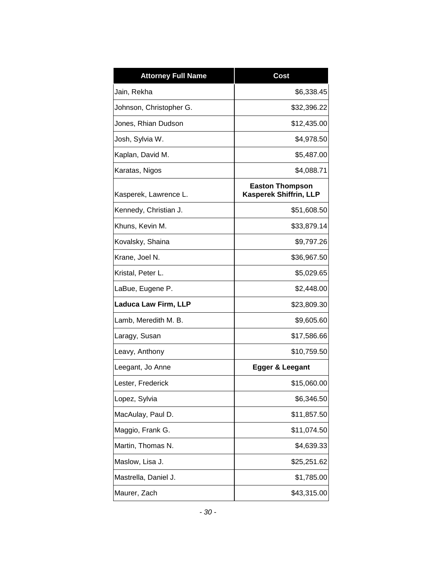| <b>Attorney Full Name</b>   | <b>Cost</b>                                      |
|-----------------------------|--------------------------------------------------|
| Jain, Rekha                 | \$6,338.45                                       |
| Johnson, Christopher G.     | \$32,396.22                                      |
| Jones, Rhian Dudson         | \$12,435.00                                      |
| Josh, Sylvia W.             | \$4,978.50                                       |
| Kaplan, David M.            | \$5,487.00                                       |
| Karatas, Nigos              | \$4,088.71                                       |
| Kasperek, Lawrence L.       | <b>Easton Thompson</b><br>Kasperek Shiffrin, LLP |
| Kennedy, Christian J.       | \$51,608.50                                      |
| Khuns, Kevin M.             | \$33,879.14                                      |
| Kovalsky, Shaina            | \$9,797.26                                       |
| Krane, Joel N.              | \$36,967.50                                      |
| Kristal, Peter L.           | \$5,029.65                                       |
| LaBue, Eugene P.            | \$2,448.00                                       |
| <b>Laduca Law Firm, LLP</b> | \$23,809.30                                      |
| Lamb, Meredith M. B.        | \$9,605.60                                       |
| Laragy, Susan               | \$17,586.66                                      |
| Leavy, Anthony              | \$10,759.50                                      |
| Leegant, Jo Anne            | <b>Egger &amp; Leegant</b>                       |
| Lester, Frederick           | \$15,060.00                                      |
| Lopez, Sylvia               | \$6,346.50                                       |
| MacAulay, Paul D.           | \$11,857.50                                      |
| Maggio, Frank G.            | \$11,074.50                                      |
| Martin, Thomas N.           | \$4,639.33                                       |
| Maslow, Lisa J.             | \$25,251.62                                      |
| Mastrella, Daniel J.        | \$1,785.00                                       |
| Maurer, Zach                | \$43,315.00                                      |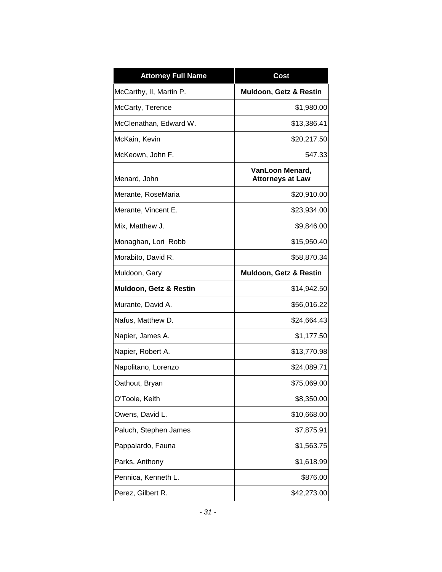| <b>Attorney Full Name</b> | Cost                                       |
|---------------------------|--------------------------------------------|
| McCarthy, II, Martin P.   | Muldoon, Getz & Restin                     |
| McCarty, Terence          | \$1,980.00                                 |
| McClenathan, Edward W.    | \$13,386.41                                |
| McKain, Kevin             | \$20,217.50                                |
| McKeown, John F.          | 547.33                                     |
| Menard, John              | VanLoon Menard,<br><b>Attorneys at Law</b> |
| Merante, RoseMaria        | \$20,910.00                                |
| Merante, Vincent E.       | \$23,934.00                                |
| Mix, Matthew J.           | \$9,846.00                                 |
| Monaghan, Lori Robb       | \$15,950.40                                |
| Morabito, David R.        | \$58,870.34                                |
| Muldoon, Gary             | Muldoon, Getz & Restin                     |
| Muldoon, Getz & Restin    | \$14,942.50                                |
| Murante, David A.         | \$56,016.22                                |
| Nafus, Matthew D.         | \$24,664.43                                |
| Napier, James A.          | \$1,177.50                                 |
| Napier, Robert A.         | \$13,770.98                                |
| Napolitano, Lorenzo       | \$24,089.71                                |
| Oathout, Bryan            | \$75,069.00                                |
| O'Toole, Keith            | \$8,350.00                                 |
| Owens, David L.           | \$10,668.00                                |
| Paluch, Stephen James     | \$7,875.91                                 |
| Pappalardo, Fauna         | \$1,563.75                                 |
| Parks, Anthony            | \$1,618.99                                 |
| Pennica, Kenneth L.       | \$876.00                                   |
| Perez, Gilbert R.         | \$42,273.00                                |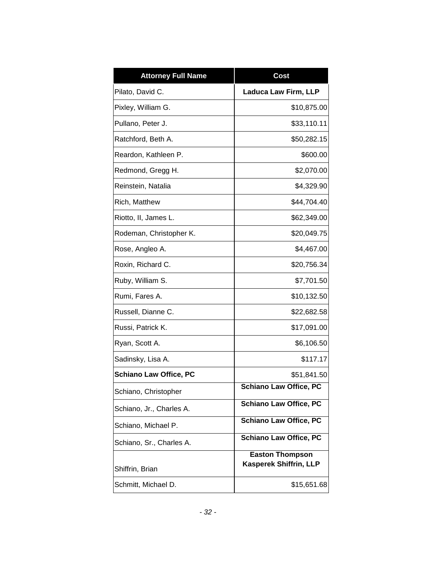| <b>Attorney Full Name</b>     | <b>Cost</b>                                             |
|-------------------------------|---------------------------------------------------------|
| Pilato, David C.              | <b>Laduca Law Firm, LLP</b>                             |
| Pixley, William G.            | \$10,875.00                                             |
| Pullano, Peter J.             | \$33,110.11                                             |
| Ratchford, Beth A.            | \$50,282.15                                             |
| Reardon, Kathleen P.          | \$600.00                                                |
| Redmond, Gregg H.             | \$2,070.00                                              |
| Reinstein, Natalia            | \$4,329.90                                              |
| Rich, Matthew                 | \$44,704.40                                             |
| Riotto, II, James L.          | \$62,349.00                                             |
| Rodeman, Christopher K.       | \$20,049.75                                             |
| Rose, Angleo A.               | \$4,467.00                                              |
| Roxin, Richard C.             | \$20,756.34                                             |
| Ruby, William S.              | \$7,701.50                                              |
| Rumi, Fares A.                | \$10,132.50                                             |
| Russell, Dianne C.            | \$22,682.58                                             |
| Russi, Patrick K.             | \$17,091.00                                             |
| Ryan, Scott A.                | \$6,106.50                                              |
| Sadinsky, Lisa A.             | \$117.17                                                |
| <b>Schiano Law Office, PC</b> | \$51,841.50                                             |
| Schiano, Christopher          | <b>Schiano Law Office, PC</b>                           |
| Schiano, Jr., Charles A.      | <b>Schiano Law Office, PC</b>                           |
| Schiano, Michael P.           | <b>Schiano Law Office, PC</b>                           |
| Schiano, Sr., Charles A.      | <b>Schiano Law Office, PC</b>                           |
| Shiffrin, Brian               | <b>Easton Thompson</b><br><b>Kasperek Shiffrin, LLP</b> |
| Schmitt, Michael D.           | \$15,651.68                                             |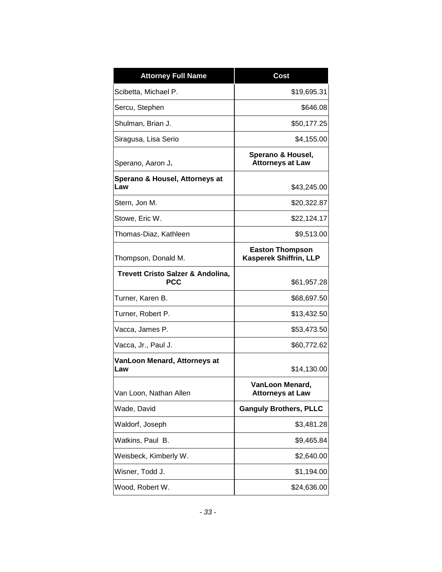| <b>Attorney Full Name</b>                       | <b>Cost</b>                                      |
|-------------------------------------------------|--------------------------------------------------|
| Scibetta, Michael P.                            | \$19,695.31                                      |
| Sercu, Stephen                                  | \$646.08                                         |
| Shulman, Brian J.                               | \$50,177.25                                      |
| Siragusa, Lisa Serio                            | \$4,155.00                                       |
| Sperano, Aaron J.                               | Sperano & Housel,<br><b>Attorneys at Law</b>     |
| Sperano & Housel, Attorneys at<br>Law           | \$43,245.00                                      |
| Stern, Jon M.                                   | \$20,322.87                                      |
| Stowe, Eric W.                                  | \$22,124.17                                      |
| Thomas-Diaz, Kathleen                           | \$9,513.00                                       |
| Thompson, Donald M.                             | <b>Easton Thompson</b><br>Kasperek Shiffrin, LLP |
| Trevett Cristo Salzer & Andolina,<br><b>PCC</b> | \$61,957.28                                      |
| Turner, Karen B.                                | \$68,697.50                                      |
| Turner, Robert P.                               | \$13,432.50                                      |
| Vacca, James P.                                 | \$53,473.50                                      |
| Vacca, Jr., Paul J.                             | \$60,772.62                                      |
| VanLoon Menard, Attorneys at<br>Law             | \$14,130.00                                      |
| Van Loon, Nathan Allen                          | VanLoon Menard,<br><b>Attorneys at Law</b>       |
| Wade, David                                     | <b>Ganguly Brothers, PLLC</b>                    |
| Waldorf, Joseph                                 | \$3,481.28                                       |
| Watkins, Paul B.                                | \$9,465.84                                       |
| Weisbeck, Kimberly W.                           | \$2,640.00                                       |
| Wisner, Todd J.                                 | \$1,194.00                                       |
| Wood, Robert W.                                 | \$24,636.00                                      |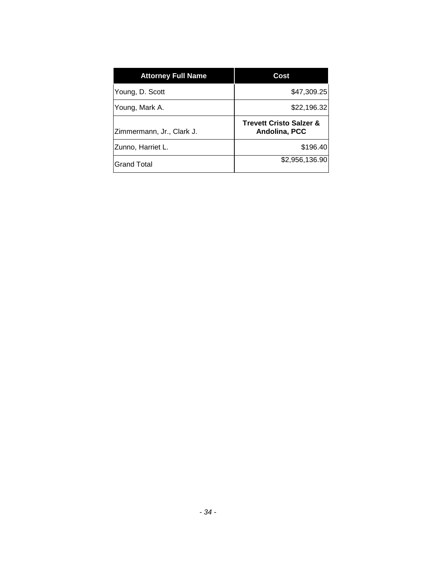| <b>Attorney Full Name</b> | Cost                                                |
|---------------------------|-----------------------------------------------------|
| Young, D. Scott           | \$47,309.25                                         |
| Young, Mark A.            | \$22,196.32                                         |
| Zimmermann, Jr., Clark J. | <b>Trevett Cristo Salzer &amp;</b><br>Andolina, PCC |
| Zunno, Harriet L.         | \$196.40                                            |
| <b>Grand Total</b>        | \$2,956,136.90                                      |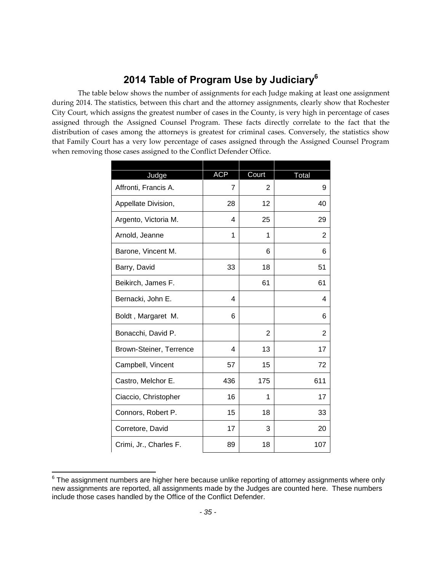#### **2014 Table of Program Use by Judiciary<sup>6</sup>**

The table below shows the number of assignments for each Judge making at least one assignment during 2014. The statistics, between this chart and the attorney assignments, clearly show that Rochester City Court, which assigns the greatest number of cases in the County, is very high in percentage of cases assigned through the Assigned Counsel Program. These facts directly correlate to the fact that the distribution of cases among the attorneys is greatest for criminal cases. Conversely, the statistics show that Family Court has a very low percentage of cases assigned through the Assigned Counsel Program when removing those cases assigned to the Conflict Defender Office.

| Judge                   | <b>ACP</b> | Court          | Total |
|-------------------------|------------|----------------|-------|
| Affronti, Francis A.    | 7          | $\overline{2}$ | 9     |
| Appellate Division,     | 28         | 12             | 40    |
| Argento, Victoria M.    | 4          | 25             | 29    |
| Arnold, Jeanne          | 1          | 1              | 2     |
| Barone, Vincent M.      |            | 6              | 6     |
| Barry, David            | 33         | 18             | 51    |
| Beikirch, James F.      |            | 61             | 61    |
| Bernacki, John E.       | 4          |                | 4     |
| Boldt, Margaret M.      | 6          |                | 6     |
| Bonacchi, David P.      |            | $\overline{2}$ | 2     |
| Brown-Steiner, Terrence | 4          | 13             | 17    |
| Campbell, Vincent       | 57         | 15             | 72    |
| Castro, Melchor E.      | 436        | 175            | 611   |
| Ciaccio, Christopher    | 16         | 1              | 17    |
| Connors, Robert P.      | 15         | 18             | 33    |
| Corretore, David        | 17         | 3              | 20    |
| Crimi, Jr., Charles F.  | 89         | 18             | 107   |

 $\overline{\phantom{a}}$  $^6$  The assignment numbers are higher here because unlike reporting of attorney assignments where only new assignments are reported, all assignments made by the Judges are counted here. These numbers include those cases handled by the Office of the Conflict Defender.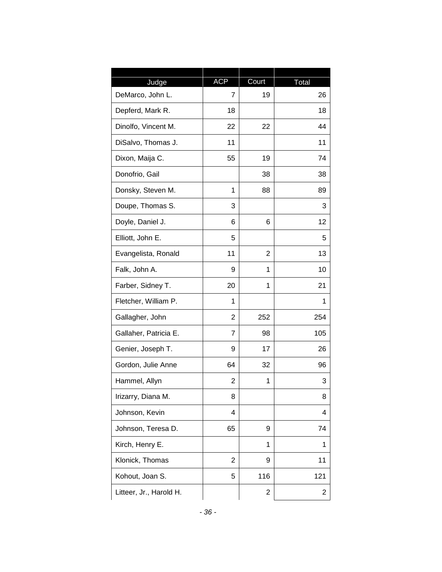| Judge                   | <b>ACP</b>     | Court          | Total |
|-------------------------|----------------|----------------|-------|
| DeMarco, John L.        | 7              | 19             | 26    |
| Depferd, Mark R.        | 18             |                | 18    |
| Dinolfo, Vincent M.     | 22             | 22             | 44    |
| DiSalvo, Thomas J.      | 11             |                | 11    |
| Dixon, Maija C.         | 55             | 19             | 74    |
| Donofrio, Gail          |                | 38             | 38    |
| Donsky, Steven M.       | 1              | 88             | 89    |
| Doupe, Thomas S.        | 3              |                | 3     |
| Doyle, Daniel J.        | 6              | 6              | 12    |
| Elliott, John E.        | 5              |                | 5     |
| Evangelista, Ronald     | 11             | $\overline{2}$ | 13    |
| Falk, John A.           | 9              | 1              | 10    |
| Farber, Sidney T.       | 20             | 1              | 21    |
| Fletcher, William P.    | 1              |                | 1     |
| Gallagher, John         | $\overline{2}$ | 252            | 254   |
| Gallaher, Patricia E.   | 7              | 98             | 105   |
| Genier, Joseph T.       | 9              | 17             | 26    |
| Gordon, Julie Anne      | 64             | 32             | 96    |
| Hammel, Allyn           | 2              | 1              | 3     |
| Irizarry, Diana M.      | 8              |                | 8     |
| Johnson, Kevin          | 4              |                | 4     |
| Johnson, Teresa D.      | 65             | 9              | 74    |
| Kirch, Henry E.         |                | 1              | 1     |
| Klonick, Thomas         | $\overline{2}$ | 9              | 11    |
| Kohout, Joan S.         | 5              | 116            | 121   |
| Litteer, Jr., Harold H. |                | 2              | 2     |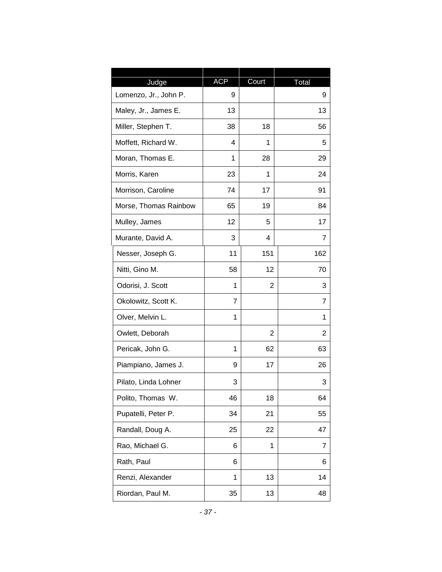|                                | <b>ACP</b> |       |            |
|--------------------------------|------------|-------|------------|
| Judge<br>Lomenzo, Jr., John P. | 9          | Court | Total<br>9 |
| Maley, Jr., James E.           | 13         |       | 13         |
| Miller, Stephen T.             | 38         | 18    | 56         |
| Moffett, Richard W.            | 4          | 1     | 5          |
| Moran, Thomas E.               | 1          | 28    | 29         |
| Morris, Karen                  | 23         | 1     | 24         |
| Morrison, Caroline             | 74         | 17    | 91         |
| Morse, Thomas Rainbow          | 65         | 19    | 84         |
|                                |            |       |            |
| Mulley, James                  | 12         | 5     | 17         |
| Murante, David A.              | 3          | 4     | 7          |
| Nesser, Joseph G.              | 11         | 151   | 162        |
| Nitti, Gino M.                 | 58         | 12    | 70         |
| Odorisi, J. Scott              | 1          | 2     | 3          |
| Okolowitz, Scott K.            | 7          |       | 7          |
| Olver, Melvin L.               | 1          |       | 1          |
| Owlett, Deborah                |            | 2     | 2          |
| Pericak, John G.               | 1          | 62    | 63         |
| Piampiano, James J.            | 9          | 17    | 26         |
| Pilato, Linda Lohner           | 3          |       | 3          |
| Polito, Thomas W.              | 46         | 18    | 64         |
| Pupatelli, Peter P.            | 34         | 21    | 55         |
| Randall, Doug A.               | 25         | 22    | 47         |
| Rao, Michael G.                | 6          | 1     | 7          |
| Rath, Paul                     | 6          |       | 6          |
| Renzi, Alexander               | 1          | 13    | 14         |
| Riordan, Paul M.               | 35         | 13    | 48         |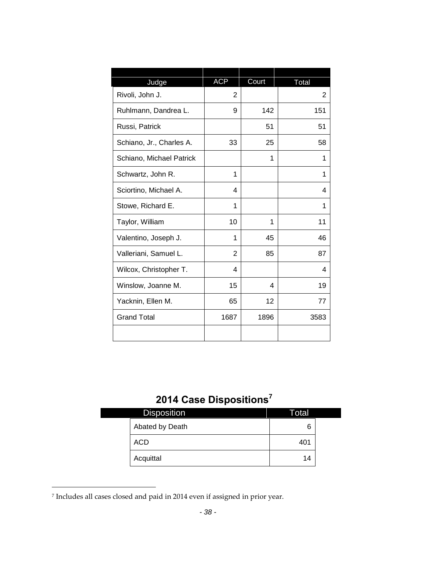| Judge                    | <b>ACP</b>     | Court | Total |
|--------------------------|----------------|-------|-------|
| Rivoli, John J.          | 2              |       | 2     |
| Ruhlmann, Dandrea L.     | 9              | 142   | 151   |
| Russi, Patrick           |                | 51    | 51    |
| Schiano, Jr., Charles A. | 33             | 25    | 58    |
| Schiano, Michael Patrick |                | 1     | 1     |
| Schwartz, John R.        | 1              |       | 1     |
| Sciortino, Michael A.    | 4              |       | 4     |
| Stowe, Richard E.        | 1              |       | 1     |
| Taylor, William          | 10             | 1     | 11    |
| Valentino, Joseph J.     | 1              | 45    | 46    |
| Valleriani, Samuel L.    | $\overline{2}$ | 85    | 87    |
| Wilcox, Christopher T.   | 4              |       | 4     |
| Winslow, Joanne M.       | 15             | 4     | 19    |
| Yacknin, Ellen M.        | 65             | 12    | 77    |
| <b>Grand Total</b>       | 1687           | 1896  | 3583  |
|                          |                |       |       |

# **2014 Case Dispositions<sup>7</sup>**

| <b>Disposition</b> | Total |  |
|--------------------|-------|--|
| Abated by Death    | 6     |  |
| ACD                | 401   |  |
| Acquittal          | 14    |  |

<sup>7</sup> Includes all cases closed and paid in 2014 even if assigned in prior year.

 $\overline{\phantom{a}}$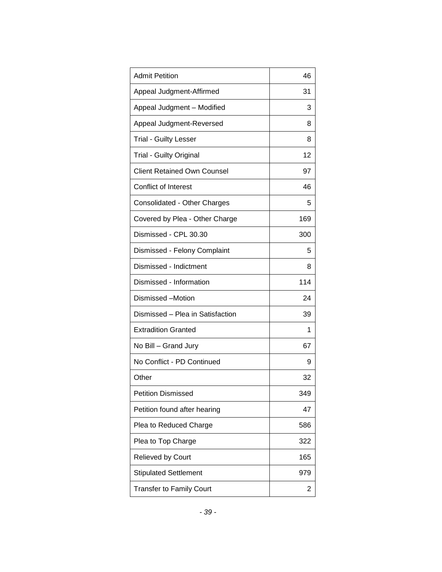| <b>Admit Petition</b>              | 46  |
|------------------------------------|-----|
| Appeal Judgment-Affirmed           | 31  |
| Appeal Judgment - Modified         | 3   |
| Appeal Judgment-Reversed           | 8   |
| <b>Trial - Guilty Lesser</b>       | 8   |
| <b>Trial - Guilty Original</b>     | 12  |
| <b>Client Retained Own Counsel</b> | 97  |
| <b>Conflict of Interest</b>        | 46  |
| Consolidated - Other Charges       | 5   |
| Covered by Plea - Other Charge     | 169 |
| Dismissed - CPL 30.30              | 300 |
| Dismissed - Felony Complaint       | 5   |
| Dismissed - Indictment             | 8   |
| Dismissed - Information            | 114 |
| Dismissed -Motion                  | 24  |
| Dismissed - Plea in Satisfaction   | 39  |
| <b>Extradition Granted</b>         | 1   |
| No Bill - Grand Jury               | 67  |
| No Conflict - PD Continued         | 9   |
| Other                              | 32  |
| <b>Petition Dismissed</b>          | 349 |
| Petition found after hearing       | 47  |
| Plea to Reduced Charge             | 586 |
| Plea to Top Charge                 | 322 |
| Relieved by Court                  | 165 |
| <b>Stipulated Settlement</b>       | 979 |
| <b>Transfer to Family Court</b>    | 2   |